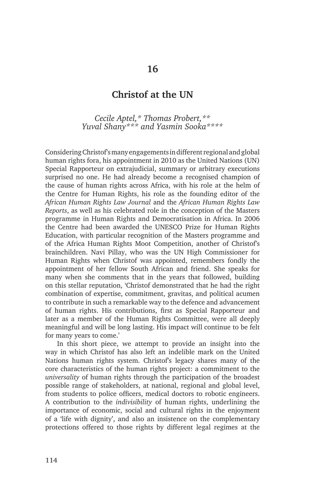# **Christof at the UN**

*Cecile Aptel,\* Thomas Probert,\*\* Yuval Shany\*\*\* and Yasmin Sooka\*\*\*\**

Considering Christof's many engagements in different regional and global human rights fora, his appointment in 2010 as the United Nations (UN) Special Rapporteur on extrajudicial, summary or arbitrary executions surprised no one. He had already become a recognised champion of the cause of human rights across Africa, with his role at the helm of the Centre for Human Rights, his role as the founding editor of the *African Human Rights Law Journal* and the *African Human Rights Law Reports*, as well as his celebrated role in the conception of the Masters programme in Human Rights and Democratisation in Africa. In 2006 the Centre had been awarded the UNESCO Prize for Human Rights Education, with particular recognition of the Masters programme and of the Africa Human Rights Moot Competition, another of Christof's brainchildren. Navi Pillay, who was the UN High Commissioner for Human Rights when Christof was appointed, remembers fondly the appointment of her fellow South African and friend. She speaks for many when she comments that in the years that followed, building on this stellar reputation, 'Christof demonstrated that he had the right combination of expertise, commitment, gravitas, and political acumen to contribute in such a remarkable way to the defence and advancement of human rights. His contributions, first as Special Rapporteur and later as a member of the Human Rights Committee, were all deeply meaningful and will be long lasting. His impact will continue to be felt for many years to come.'

In this short piece, we attempt to provide an insight into the way in which Christof has also left an indelible mark on the United Nations human rights system. Christof's legacy shares many of the core characteristics of the human rights project: a commitment to the *universality* of human rights through the participation of the broadest possible range of stakeholders, at national, regional and global level, from students to police officers, medical doctors to robotic engineers. A contribution to the *indivisibility* of human rights, underlining the importance of economic, social and cultural rights in the enjoyment of a 'life with dignity', and also an insistence on the complementary protections offered to those rights by different legal regimes at the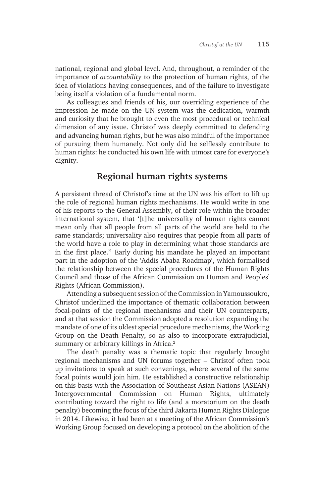national, regional and global level. And, throughout, a reminder of the importance of *accountability* to the protection of human rights, of the idea of violations having consequences, and of the failure to investigate being itself a violation of a fundamental norm.

As colleagues and friends of his, our overriding experience of the impression he made on the UN system was the dedication, warmth and curiosity that he brought to even the most procedural or technical dimension of any issue. Christof was deeply committed to defending and advancing human rights, but he was also mindful of the importance of pursuing them humanely. Not only did he selflessly contribute to human rights: he conducted his own life with utmost care for everyone's dignity.

# **Regional human rights systems**

A persistent thread of Christof's time at the UN was his effort to lift up the role of regional human rights mechanisms. He would write in one of his reports to the General Assembly, of their role within the broader international system, that '[t]he universality of human rights cannot mean only that all people from all parts of the world are held to the same standards; universality also requires that people from all parts of the world have a role to play in determining what those standards are in the first place.'<sup>1</sup> Early during his mandate he played an important part in the adoption of the 'Addis Ababa Roadmap', which formalised the relationship between the special procedures of the Human Rights Council and those of the African Commission on Human and Peoples' Rights (African Commission).

Attending a subsequent session of the Commission in Yamoussoukro, Christof underlined the importance of thematic collaboration between focal-points of the regional mechanisms and their UN counterparts, and at that session the Commission adopted a resolution expanding the mandate of one of its oldest special procedure mechanisms, the Working Group on the Death Penalty, so as also to incorporate extrajudicial, summary or arbitrary killings in Africa.<sup>2</sup>

The death penalty was a thematic topic that regularly brought regional mechanisms and UN forums together – Christof often took up invitations to speak at such convenings, where several of the same focal points would join him. He established a constructive relationship on this basis with the Association of Southeast Asian Nations (ASEAN) Intergovernmental Commission on Human Rights, ultimately contributing toward the right to life (and a moratorium on the death penalty) becoming the focus of the third Jakarta Human Rights Dialogue in 2014. Likewise, it had been at a meeting of the African Commission's Working Group focused on developing a protocol on the abolition of the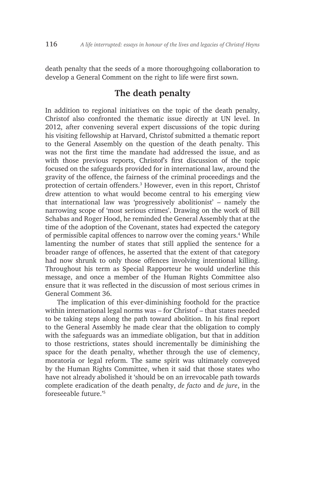death penalty that the seeds of a more thoroughgoing collaboration to develop a General Comment on the right to life were first sown.

### **The death penalty**

In addition to regional initiatives on the topic of the death penalty, Christof also confronted the thematic issue directly at UN level. In 2012, after convening several expert discussions of the topic during his visiting fellowship at Harvard, Christof submitted a thematic report to the General Assembly on the question of the death penalty. This was not the first time the mandate had addressed the issue, and as with those previous reports, Christof's first discussion of the topic focused on the safeguards provided for in international law, around the gravity of the offence, the fairness of the criminal proceedings and the protection of certain offenders.3 However, even in this report, Christof drew attention to what would become central to his emerging view that international law was 'progressively abolitionist' – namely the narrowing scope of 'most serious crimes'. Drawing on the work of Bill Schabas and Roger Hood, he reminded the General Assembly that at the time of the adoption of the Covenant, states had expected the category of permissible capital offences to narrow over the coming years.<sup>4</sup> While lamenting the number of states that still applied the sentence for a broader range of offences, he asserted that the extent of that category had now shrunk to only those offences involving intentional killing. Throughout his term as Special Rapporteur he would underline this message, and once a member of the Human Rights Committee also ensure that it was reflected in the discussion of most serious crimes in General Comment 36.

The implication of this ever-diminishing foothold for the practice within international legal norms was – for Christof – that states needed to be taking steps along the path toward abolition. In his final report to the General Assembly he made clear that the obligation to comply with the safeguards was an immediate obligation, but that in addition to those restrictions, states should incrementally be diminishing the space for the death penalty, whether through the use of clemency, moratoria or legal reform. The same spirit was ultimately conveyed by the Human Rights Committee, when it said that those states who have not already abolished it 'should be on an irrevocable path towards complete eradication of the death penalty, *de facto* and *de jure*, in the foreseeable future<sup>'5</sup>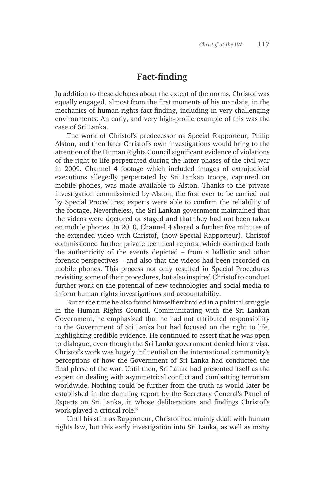## **Fact-finding**

In addition to these debates about the extent of the norms, Christof was equally engaged, almost from the first moments of his mandate, in the mechanics of human rights fact-finding, including in very challenging environments. An early, and very high-profile example of this was the case of Sri Lanka.

The work of Christof's predecessor as Special Rapporteur, Philip Alston, and then later Christof's own investigations would bring to the attention of the Human Rights Council significant evidence of violations of the right to life perpetrated during the latter phases of the civil war in 2009. Channel 4 footage which included images of extrajudicial executions allegedly perpetrated by Sri Lankan troops, captured on mobile phones, was made available to Alston. Thanks to the private investigation commissioned by Alston, the first ever to be carried out by Special Procedures, experts were able to confirm the reliability of the footage. Nevertheless, the Sri Lankan government maintained that the videos were doctored or staged and that they had not been taken on mobile phones. In 2010, Channel 4 shared a further five minutes of the extended video with Christof, (now Special Rapporteur). Christof commissioned further private technical reports, which confirmed both the authenticity of the events depicted – from a ballistic and other forensic perspectives – and also that the videos had been recorded on mobile phones. This process not only resulted in Special Procedures revisiting some of their procedures, but also inspired Christof to conduct further work on the potential of new technologies and social media to inform human rights investigations and accountability.

But at the time he also found himself embroiled in a political struggle in the Human Rights Council. Communicating with the Sri Lankan Government, he emphasized that he had not attributed responsibility to the Government of Sri Lanka but had focused on the right to life, highlighting credible evidence. He continued to assert that he was open to dialogue, even though the Sri Lanka government denied him a visa. Christof's work was hugely influential on the international community's perceptions of how the Government of Sri Lanka had conducted the final phase of the war. Until then, Sri Lanka had presented itself as the expert on dealing with asymmetrical conflict and combatting terrorism worldwide. Nothing could be further from the truth as would later be established in the damning report by the Secretary General's Panel of Experts on Sri Lanka, in whose deliberations and findings Christof's work played a critical role.<sup>6</sup>

Until his stint as Rapporteur, Christof had mainly dealt with human rights law, but this early investigation into Sri Lanka, as well as many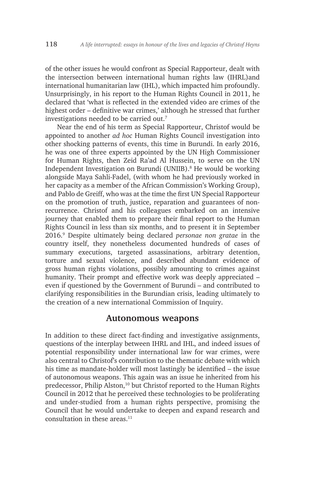of the other issues he would confront as Special Rapporteur, dealt with the intersection between international human rights law (IHRL)and international humanitarian law (IHL), which impacted him profoundly. Unsurprisingly, in his report to the Human Rights Council in 2011, he declared that 'what is reflected in the extended video are crimes of the highest order – definitive war crimes,' although he stressed that further investigations needed to be carried out.7

Near the end of his term as Special Rapporteur, Christof would be appointed to another *ad hoc* Human Rights Council investigation into other shocking patterns of events, this time in Burundi. In early 2016, he was one of three experts appointed by the UN High Commissioner for Human Rights, then Zeid Ra'ad Al Hussein, to serve on the UN Independent Investigation on Burundi (UNIIB).<sup>8</sup> He would be working alongside Maya Sahli-Fadel, (with whom he had previously worked in her capacity as a member of the African Commission's Working Group), and Pablo de Greiff, who was at the time the first UN Special Rapporteur on the promotion of truth, justice, reparation and guarantees of nonrecurrence. Christof and his colleagues embarked on an intensive journey that enabled them to prepare their final report to the Human Rights Council in less than six months, and to present it in September 2016.9 Despite ultimately being declared *personae non gratae* in the country itself, they nonetheless documented hundreds of cases of summary executions, targeted assassinations, arbitrary detention, torture and sexual violence, and described abundant evidence of gross human rights violations, possibly amounting to crimes against humanity. Their prompt and effective work was deeply appreciated – even if questioned by the Government of Burundi – and contributed to clarifying responsibilities in the Burundian crisis, leading ultimately to the creation of a new international Commission of Inquiry.

#### **Autonomous weapons**

In addition to these direct fact-finding and investigative assignments, questions of the interplay between IHRL and IHL, and indeed issues of potential responsibility under international law for war crimes, were also central to Christof's contribution to the thematic debate with which his time as mandate-holder will most lastingly be identified – the issue of autonomous weapons. This again was an issue he inherited from his predecessor, Philip Alston,<sup>10</sup> but Christof reported to the Human Rights Council in 2012 that he perceived these technologies to be proliferating and under-studied from a human rights perspective, promising the Council that he would undertake to deepen and expand research and consultation in these areas. $11$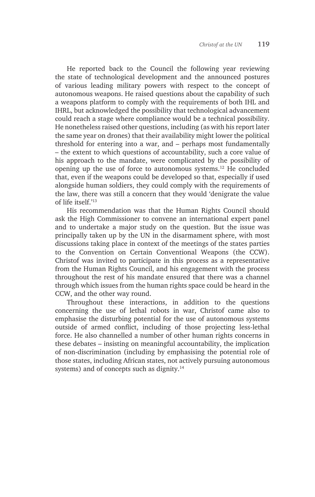He reported back to the Council the following year reviewing the state of technological development and the announced postures of various leading military powers with respect to the concept of autonomous weapons. He raised questions about the capability of such a weapons platform to comply with the requirements of both IHL and IHRL, but acknowledged the possibility that technological advancement could reach a stage where compliance would be a technical possibility. He nonetheless raised other questions, including (as with his report later the same year on drones) that their availability might lower the political threshold for entering into a war, and – perhaps most fundamentally – the extent to which questions of accountability, such a core value of his approach to the mandate, were complicated by the possibility of opening up the use of force to autonomous systems.12 He concluded that, even if the weapons could be developed so that, especially if used alongside human soldiers, they could comply with the requirements of the law, there was still a concern that they would 'denigrate the value of life itself.'13

His recommendation was that the Human Rights Council should ask the High Commissioner to convene an international expert panel and to undertake a major study on the question. But the issue was principally taken up by the UN in the disarmament sphere, with most discussions taking place in context of the meetings of the states parties to the Convention on Certain Conventional Weapons (the CCW). Christof was invited to participate in this process as a representative from the Human Rights Council, and his engagement with the process throughout the rest of his mandate ensured that there was a channel through which issues from the human rights space could be heard in the CCW, and the other way round.

Throughout these interactions, in addition to the questions concerning the use of lethal robots in war, Christof came also to emphasise the disturbing potential for the use of autonomous systems outside of armed conflict, including of those projecting less-lethal force. He also channelled a number of other human rights concerns in these debates – insisting on meaningful accountability, the implication of non-discrimination (including by emphasising the potential role of those states, including African states, not actively pursuing autonomous systems) and of concepts such as dignity.<sup>14</sup>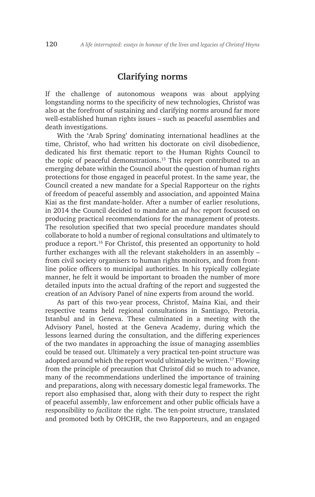### **Clarifying norms**

If the challenge of autonomous weapons was about applying longstanding norms to the specificity of new technologies, Christof was also at the forefront of sustaining and clarifying norms around far more well-established human rights issues – such as peaceful assemblies and death investigations.

With the 'Arab Spring' dominating international headlines at the time, Christof, who had written his doctorate on civil disobedience, dedicated his first thematic report to the Human Rights Council to the topic of peaceful demonstrations.15 This report contributed to an emerging debate within the Council about the question of human rights protections for those engaged in peaceful protest. In the same year, the Council created a new mandate for a Special Rapporteur on the rights of freedom of peaceful assembly and association, and appointed Maina Kiai as the first mandate-holder. After a number of earlier resolutions, in 2014 the Council decided to mandate an *ad hoc* report focussed on producing practical recommendations for the management of protests. The resolution specified that two special procedure mandates should collaborate to hold a number of regional consultations and ultimately to produce a report.16 For Christof, this presented an opportunity to hold further exchanges with all the relevant stakeholders in an assembly – from civil society organisers to human rights monitors, and from frontline police officers to municipal authorities. In his typically collegiate manner, he felt it would be important to broaden the number of more detailed inputs into the actual drafting of the report and suggested the creation of an Advisory Panel of nine experts from around the world.

As part of this two-year process, Christof, Maina Kiai, and their respective teams held regional consultations in Santiago, Pretoria, Istanbul and in Geneva. These culminated in a meeting with the Advisory Panel, hosted at the Geneva Academy, during which the lessons learned during the consultation, and the differing experiences of the two mandates in approaching the issue of managing assemblies could be teased out. Ultimately a very practical ten-point structure was adopted around which the report would ultimately be written.<sup>17</sup> Flowing from the principle of precaution that Christof did so much to advance, many of the recommendations underlined the importance of training and preparations, along with necessary domestic legal frameworks. The report also emphasised that, along with their duty to respect the right of peaceful assembly, law enforcement and other public officials have a responsibility to *facilitate* the right. The ten-point structure, translated and promoted both by OHCHR, the two Rapporteurs, and an engaged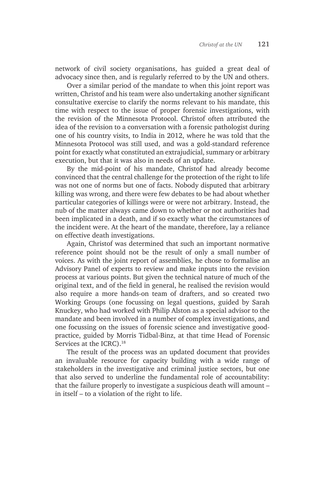network of civil society organisations, has guided a great deal of advocacy since then, and is regularly referred to by the UN and others.

Over a similar period of the mandate to when this joint report was written, Christof and his team were also undertaking another significant consultative exercise to clarify the norms relevant to his mandate, this time with respect to the issue of proper forensic investigations, with the revision of the Minnesota Protocol. Christof often attributed the idea of the revision to a conversation with a forensic pathologist during one of his country visits, to India in 2012, where he was told that the Minnesota Protocol was still used, and was a gold-standard reference point for exactly what constituted an extrajudicial, summary or arbitrary execution, but that it was also in needs of an update.

By the mid-point of his mandate, Christof had already become convinced that the central challenge for the protection of the right to life was not one of norms but one of facts. Nobody disputed that arbitrary killing was wrong, and there were few debates to be had about whether particular categories of killings were or were not arbitrary. Instead, the nub of the matter always came down to whether or not authorities had been implicated in a death, and if so exactly what the circumstances of the incident were. At the heart of the mandate, therefore, lay a reliance on effective death investigations.

Again, Christof was determined that such an important normative reference point should not be the result of only a small number of voices. As with the joint report of assemblies, he chose to formalise an Advisory Panel of experts to review and make inputs into the revision process at various points. But given the technical nature of much of the original text, and of the field in general, he realised the revision would also require a more hands-on team of drafters, and so created two Working Groups (one focussing on legal questions, guided by Sarah Knuckey, who had worked with Philip Alston as a special advisor to the mandate and been involved in a number of complex investigations, and one focussing on the issues of forensic science and investigative goodpractice, guided by Morris Tidbal-Binz, at that time Head of Forensic Services at the ICRC).<sup>18</sup>

The result of the process was an updated document that provides an invaluable resource for capacity building with a wide range of stakeholders in the investigative and criminal justice sectors, but one that also served to underline the fundamental role of accountability: that the failure properly to investigate a suspicious death will amount – in itself – to a violation of the right to life.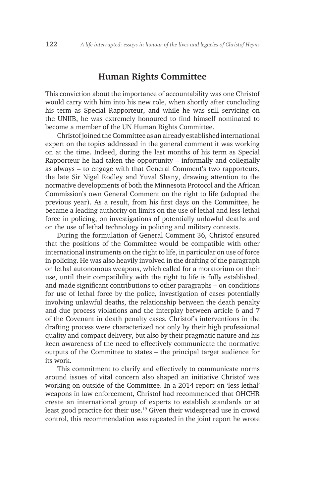### **Human Rights Committee**

This conviction about the importance of accountability was one Christof would carry with him into his new role, when shortly after concluding his term as Special Rapporteur, and while he was still servicing on the UNIIB, he was extremely honoured to find himself nominated to become a member of the UN Human Rights Committee.

Christof joined the Committee as an already established international expert on the topics addressed in the general comment it was working on at the time. Indeed, during the last months of his term as Special Rapporteur he had taken the opportunity – informally and collegially as always – to engage with that General Comment's two rapporteurs, the late Sir Nigel Rodley and Yuval Shany, drawing attention to the normative developments of both the Minnesota Protocol and the African Commission's own General Comment on the right to life (adopted the previous year). As a result, from his first days on the Committee, he became a leading authority on limits on the use of lethal and less-lethal force in policing, on investigations of potentially unlawful deaths and on the use of lethal technology in policing and military contexts.

During the formulation of General Comment 36, Christof ensured that the positions of the Committee would be compatible with other international instruments on the right to life, in particular on use of force in policing. He was also heavily involved in the drafting of the paragraph on lethal autonomous weapons, which called for a moratorium on their use, until their compatibility with the right to life is fully established, and made significant contributions to other paragraphs – on conditions for use of lethal force by the police, investigation of cases potentially involving unlawful deaths, the relationship between the death penalty and due process violations and the interplay between article 6 and 7 of the Covenant in death penalty cases. Christof's interventions in the drafting process were characterized not only by their high professional quality and compact delivery, but also by their pragmatic nature and his keen awareness of the need to effectively communicate the normative outputs of the Committee to states – the principal target audience for its work.

This commitment to clarify and effectively to communicate norms around issues of vital concern also shaped an initiative Christof was working on outside of the Committee. In a 2014 report on 'less-lethal' weapons in law enforcement, Christof had recommended that OHCHR create an international group of experts to establish standards or at least good practice for their use.<sup>19</sup> Given their widespread use in crowd control, this recommendation was repeated in the joint report he wrote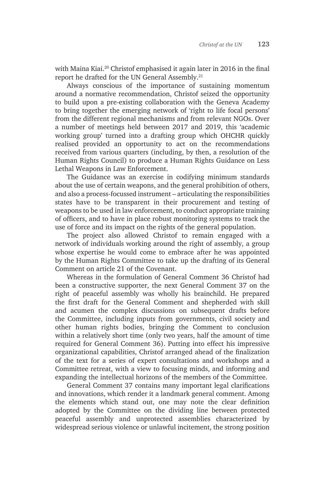with Maina Kiai.20 Christof emphasised it again later in 2016 in the final report he drafted for the UN General Assembly.21

Always conscious of the importance of sustaining momentum around a normative recommendation, Christof seized the opportunity to build upon a pre-existing collaboration with the Geneva Academy to bring together the emerging network of 'right to life focal persons' from the different regional mechanisms and from relevant NGOs. Over a number of meetings held between 2017 and 2019, this 'academic working group' turned into a drafting group which OHCHR quickly realised provided an opportunity to act on the recommendations received from various quarters (including, by then, a resolution of the Human Rights Council) to produce a Human Rights Guidance on Less Lethal Weapons in Law Enforcement.

The Guidance was an exercise in codifying minimum standards about the use of certain weapons, and the general prohibition of others, and also a process-focussed instrument – articulating the responsibilities states have to be transparent in their procurement and testing of weapons to be used in law enforcement, to conduct appropriate training of officers, and to have in place robust monitoring systems to track the use of force and its impact on the rights of the general population.

The project also allowed Christof to remain engaged with a network of individuals working around the right of assembly, a group whose expertise he would come to embrace after he was appointed by the Human Rights Committee to take up the drafting of its General Comment on article 21 of the Covenant.

Whereas in the formulation of General Comment 36 Christof had been a constructive supporter, the next General Comment 37 on the right of peaceful assembly was wholly his brainchild. He prepared the first draft for the General Comment and shepherded with skill and acumen the complex discussions on subsequent drafts before the Committee, including inputs from governments, civil society and other human rights bodies, bringing the Comment to conclusion within a relatively short time (only two years, half the amount of time required for General Comment 36). Putting into effect his impressive organizational capabilities, Christof arranged ahead of the finalization of the text for a series of expert consultations and workshops and a Committee retreat, with a view to focusing minds, and informing and expanding the intellectual horizons of the members of the Committee.

General Comment 37 contains many important legal clarifications and innovations, which render it a landmark general comment. Among the elements which stand out, one may note the clear definition adopted by the Committee on the dividing line between protected peaceful assembly and unprotected assemblies characterized by widespread serious violence or unlawful incitement, the strong position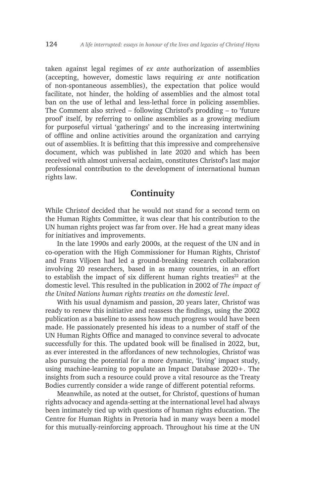taken against legal regimes of *ex ante* authorization of assemblies (accepting, however, domestic laws requiring *ex ante* notification of non-spontaneous assemblies), the expectation that police would facilitate, not hinder, the holding of assemblies and the almost total ban on the use of lethal and less-lethal force in policing assemblies. The Comment also strived – following Christof's prodding – to 'future proof' itself, by referring to online assemblies as a growing medium for purposeful virtual 'gatherings' and to the increasing intertwining of offline and online activities around the organization and carrying out of assemblies. It is befitting that this impressive and comprehensive document, which was published in late 2020 and which has been received with almost universal acclaim, constitutes Christof's last major professional contribution to the development of international human rights law.

# **Continuity**

While Christof decided that he would not stand for a second term on the Human Rights Committee, it was clear that his contribution to the UN human rights project was far from over. He had a great many ideas for initiatives and improvements.

In the late 1990s and early 2000s, at the request of the UN and in co-operation with the High Commissioner for Human Rights, Christof and Frans Viljoen had led a ground-breaking research collaboration involving 20 researchers, based in as many countries, in an effort to establish the impact of six different human rights treaties $22$  at the domestic level. This resulted in the publication in 2002 of *The impact of the United Nations human rights treaties on the domestic level*.

With his usual dynamism and passion, 20 years later, Christof was ready to renew this initiative and reassess the findings, using the 2002 publication as a baseline to assess how much progress would have been made. He passionately presented his ideas to a number of staff of the UN Human Rights Office and managed to convince several to advocate successfully for this. The updated book will be finalised in 2022, but, as ever interested in the affordances of new technologies, Christof was also pursuing the potential for a more dynamic, 'living' impact study, using machine-learning to populate an Impact Database 2020+. The insights from such a resource could prove a vital resource as the Treaty Bodies currently consider a wide range of different potential reforms.

Meanwhile, as noted at the outset, for Christof, questions of human rights advocacy and agenda-setting at the international level had always been intimately tied up with questions of human rights education. The Centre for Human Rights in Pretoria had in many ways been a model for this mutually-reinforcing approach. Throughout his time at the UN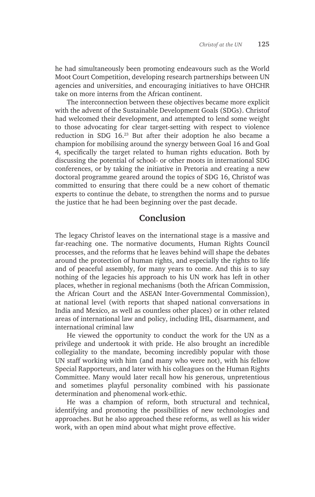he had simultaneously been promoting endeavours such as the World Moot Court Competition, developing research partnerships between UN agencies and universities, and encouraging initiatives to have OHCHR take on more interns from the African continent.

The interconnection between these objectives became more explicit with the advent of the Sustainable Development Goals (SDGs). Christof had welcomed their development, and attempted to lend some weight to those advocating for clear target-setting with respect to violence reduction in SDG 16.23 But after their adoption he also became a champion for mobilising around the synergy between Goal 16 and Goal 4, specifically the target related to human rights education. Both by discussing the potential of school- or other moots in international SDG conferences, or by taking the initiative in Pretoria and creating a new doctoral programme geared around the topics of SDG 16, Christof was committed to ensuring that there could be a new cohort of thematic experts to continue the debate, to strengthen the norms and to pursue the justice that he had been beginning over the past decade.

## **Conclusion**

The legacy Christof leaves on the international stage is a massive and far-reaching one. The normative documents, Human Rights Council processes, and the reforms that he leaves behind will shape the debates around the protection of human rights, and especially the rights to life and of peaceful assembly, for many years to come. And this is to say nothing of the legacies his approach to his UN work has left in other places, whether in regional mechanisms (both the African Commission, the African Court and the ASEAN Inter-Governmental Commission), at national level (with reports that shaped national conversations in India and Mexico, as well as countless other places) or in other related areas of international law and policy, including IHL, disarmament, and international criminal law

He viewed the opportunity to conduct the work for the UN as a privilege and undertook it with pride. He also brought an incredible collegiality to the mandate, becoming incredibly popular with those UN staff working with him (and many who were not), with his fellow Special Rapporteurs, and later with his colleagues on the Human Rights Committee. Many would later recall how his generous, unpretentious and sometimes playful personality combined with his passionate determination and phenomenal work-ethic.

He was a champion of reform, both structural and technical, identifying and promoting the possibilities of new technologies and approaches. But he also approached these reforms, as well as his wider work, with an open mind about what might prove effective.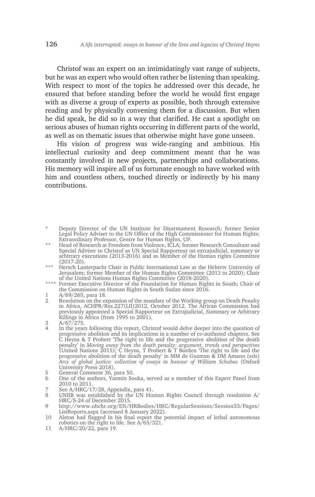Christof was an expert on an intimidatingly vast range of subjects, but he was an expert who would often rather be listening than speaking. With respect to most of the topics he addressed over this decade, he ensured that before standing before the world he would first engage with as diverse a group of experts as possible, both through extensive reading and by physically convening them for a discussion. But when he did speak, he did so in a way that clarified. He cast a spotlight on serious abuses of human rights occurring in different parts of the world, as well as on thematic issues that otherwise might have gone unseen.

His vision of progress was wide-ranging and ambitious. His intellectual curiosity and deep commitment meant that he was constantly involved in new projects, partnerships and collaborations. His memory will inspire all of us fortunate enough to have worked with him and countless others, touched directly or indirectly by his many contributions.

- \*\* Head of Research at Freedom from Violence, ICLA; former Research Consultant and Special Adviser to Christof as UN Special Rapporteur on extrajudicial, summary or arbitrary executions (2013-2016) and as Member of the Human rights Committee (2017-20).
- \*\*\* Hersch Lauterpacht Chair in Public International Law at the Hebrew University of Jerusalem; former Member of the Human Rights Committee (2013 to 2020); Chair of the United Nations Human Rights Committee (2018-2020).
- \*\*\*\* Former Executive Director of the Foundation for Human Rights in South; Chair of the Commission on Human Rights in South Sudan since 2016.
- $\frac{1}{2}$  A/69/265, para 18.
- Resolution on the expansion of the mandate of the Working group on Death Penalty in Africa, ACHPR/Res.227(LII)2012, October 2012. The African Commission had previously appointed a Special Rapporteur on Extrajudicial, Summary or Arbitrary Killings in Africa (from 1995 to 2001).

- 4 In the years following this report, Christof would delve deeper into the question of progressive abolition and its implications in a number of co-authored chapters. See C Heyns & T Probert 'The right to life and the progressive abolition of the death penalty' in *Moving away from the death penalty: argument, trends and perspectives*  (United Nations 2015); C Heyns, T Probert & T Borden 'The right to life and the progressive abolition of the death penalty' in MM de Guzman & DM Amann (eds) *Arcs of global justice: collection of essays in honour of William Schabas* (Oxford University Press 2018).
- 5 General Comment 36, para 50.
- 6 One of the authors, Yasmin Sooka, served as a member of this Expert Panel from 2010 to 2011.
- 7 See A/HRC/17/28, Appendix, para 41.
- 8 UNIIB was established by the UN Human Rights Council through resolution A/ HRC/S-24 of December 2015.
- 9 http://www.ohchr.org/EN/HRBodies/HRC/RegularSessions/Session33/Pages/ ListReports.aspx (accessed 8 January 2022).
- 10 Alston had flagged in his final report the potential impact of lethal autonomous robotics on the right to life. See A/65/321.
- 11 A/HRC/20/22, para 19.

<sup>\*</sup> Deputy Director of the UN Institute for Disarmament Research; former Senior Legal Policy Adviser to the UN Office of the High Commissioner for Human Rights; Extraordinary Professor, Centre for Human Rights, UP.

 $\frac{3}{4}$  A/67/275.